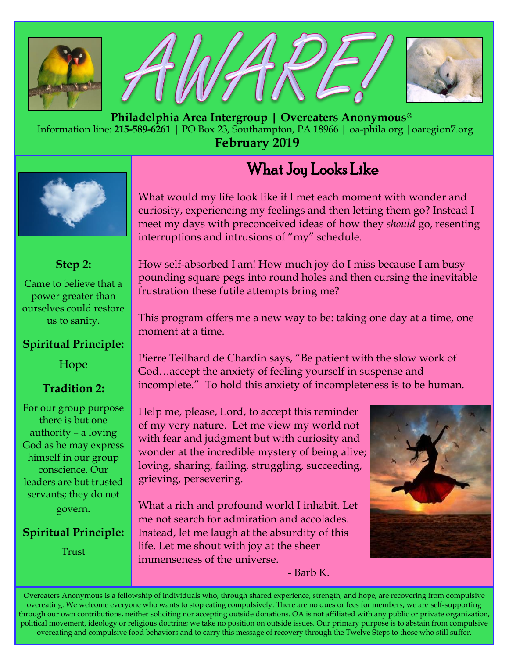





 **Philadelphia Area Intergroup | Overeaters Anonymous®** Information line: **215-589-6261 |** PO Box 23, Southampton, PA 18966 **|** oa-phila.org **|**oaregion7.org **February 2019**

# What Joy Looks Like



### **Step 2:**

Came to believe that a power greater than ourselves could restore us to sanity.

#### **Spiritual Principle:**

#### Hope

#### **Tradition 2:**

For our group purpose there is but one authority – a loving God as he may express himself in our group conscience. Our leaders are but trusted servants; they do not govern.

#### **Spiritual Principle:**

Trust

What would my life look like if I met each moment with wonder and curiosity, experiencing my feelings and then letting them go? Instead I meet my days with preconceived ideas of how they *should* go, resenting interruptions and intrusions of "my" schedule.

How self-absorbed I am! How much joy do I miss because I am busy pounding square pegs into round holes and then cursing the inevitable frustration these futile attempts bring me?

This program offers me a new way to be: taking one day at a time, one moment at a time.

Pierre Teilhard de Chardin says, "Be patient with the slow work of God…accept the anxiety of feeling yourself in suspense and incomplete." To hold this anxiety of incompleteness is to be human.

Help me, please, Lord, to accept this reminder of my very nature. Let me view my world not with fear and judgment but with curiosity and wonder at the incredible mystery of being alive; loving, sharing, failing, struggling, succeeding, grieving, persevering.

What a rich and profound world I inhabit. Let me not search for admiration and accolades. Instead, let me laugh at the absurdity of this life. Let me shout with joy at the sheer immenseness of the universe.

- Barb K.



Overeaters Anonymous is a fellowship of individuals who, through shared experience, strength, and hope, are recovering from compulsive overeating. We welcome everyone who wants to stop eating compulsively. There are no dues or fees for members; we are self-supporting through our own contributions, neither soliciting nor accepting outside donations. OA is not affiliated with any public or private organization, political movement, ideology or religious doctrine; we take no position on outside issues. Our primary purpose is to abstain from compulsive overeating and compulsive food behaviors and to carry this message of recovery through the Twelve Steps to those who still suffer.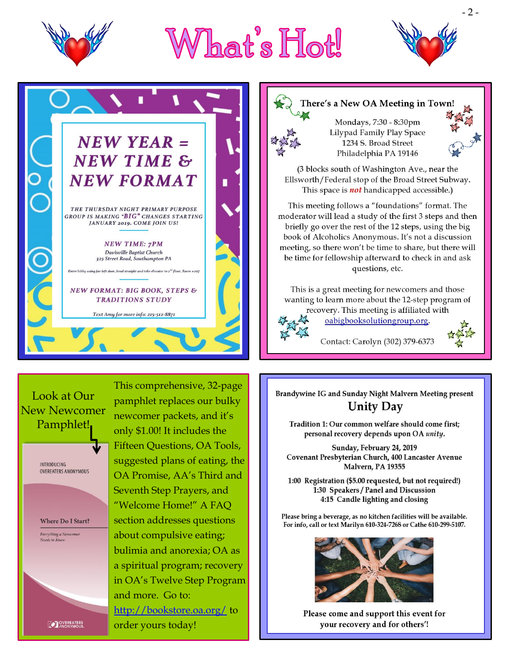





#### Look at Our **New Newcomer** Pamphlet!

**INTRODUCING OVEREATERS ANONYMOUS** 

**Where Do I Start?** Everything a Newcomer<br>Needs to Know

This comprehensive, 32-page pamphlet replaces our bulky newcomer packets, and it's only \$1.00! It includes the Fifteen Questions, OA Tools, suggested plans of eating, the OA Promise, AA's Third and Seventh Step Prayers, and "Welcome Home!" A FAO section addresses questions about compulsive eating; bulimia and anorexia; OA as a spiritual program; recovery in OA's Twelve Step Program and more. Go to: http://bookstore.oa.org/to order yours today!

# There's a New OA Meeting in Town!

Mondays, 7:30 - 8:30pm Lilypad Family Play Space 1234 S. Broad Street Philadelphia PA 19146

(3 blocks south of Washington Ave., near the Ellsworth/Federal stop of the Broad Street Subway. This space is **not** handicapped accessible.)

This meeting follows a "foundations" format. The moderator will lead a study of the first 3 steps and then briefly go over the rest of the 12 steps, using the big book of Alcoholics Anonymous. It's not a discussion meeting, so there won't be time to share, but there will be time for fellowship afterward to check in and ask questions, etc.

This is a great meeting for new comers and those wanting to learn more about the 12-step program of recovery. This meeting is affiliated with

oabigbooksolutiongroup.org.

Contact: Carolyn (302) 379-6373

Brandywine IG and Sunday Night Malvern Meeting present **Unity Day** 

Tradition 1: Our common welfare should come first; personal recovery depends upon OA unity.

Sunday, February 24, 2019 Covenant Presbyterian Church, 400 Lancaster Avenue Malvern, PA 19355

1:00 Registration (\$5.00 requested, but not required!) 1:30 Speakers / Panel and Discussion 4:15 Candle lighting and closing

Please bring a beverage, as no kitchen facilities will be available. For info, call or text Marilyn 610-324-7268 or Cathe 610-299-5107.



Please come and support this event for your recovery and for others'!

**OVEREATERS**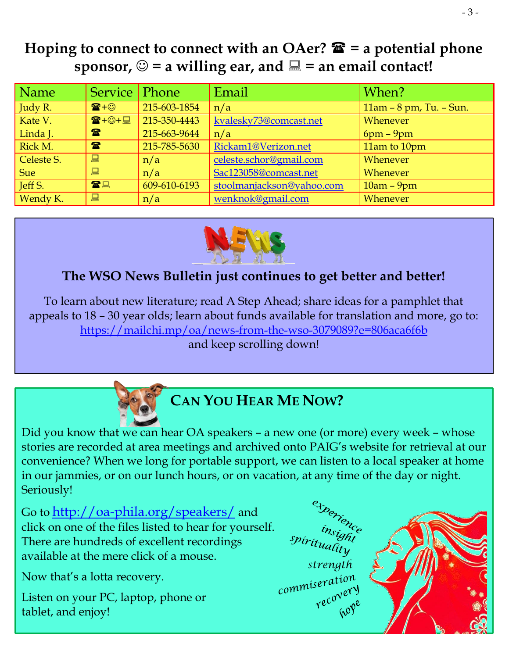# **Hoping to connect to connect with an OAer?**  $\mathbf{\hat{E}}$  **= a potential phone sponsor,**  $\odot$  **= a willing ear, and**  $\Xi$  **= an email contact!**

| Name       | Service Phone        |              | Email                     | When?                        |
|------------|----------------------|--------------|---------------------------|------------------------------|
| Judy R.    | $\mathbf{E} + \odot$ | 215-603-1854 | n/a                       | $11am - 8 pm$ , Tu. $-Sun$ . |
| Kate V.    | ☎+☺+圓                | 215-350-4443 | kvalesky73@comcast.net    | Whenever                     |
| Linda J.   | $\mathbf{P}$         | 215-663-9644 | n/a                       | $6pm - 9pm$                  |
| Rick M.    | $\mathbf{P}$         | 215-785-5630 | Rickam1@Verizon.net       | 11am to 10pm                 |
| Celeste S. | 口                    | n/a          | celeste.schor@gmail.com   | Whenever                     |
| Sue        | 口                    | n/a          | Sac123058@comcast.net     | Whenever                     |
| Jeff S.    | 雷黑                   | 609-610-6193 | stoolmanjackson@yahoo.com | $10am - 9pm$                 |
| Wendy K.   | 口                    | n/a          | wenknok@gmail.com         | Whenever                     |



## **The WSO News Bulletin just continues to get better and better!**

To learn about new literature; read A Step Ahead; share ideas for a pamphlet that appeals to 18 – 30 year olds; learn about funds available for translation and more, go to: <https://mailchi.mp/oa/news-from-the-wso-3079089?e=806aca6f6b> and keep scrolling down!



Did you know that we can hear OA speakers – a new one (or more) every week – whose stories are recorded at area meetings and archived onto PAIG's website for retrieval at our convenience? When we long for portable support, we can listen to a local speaker at home in our jammies, or on our lunch hours, or on vacation, at any time of the day or night. Seriously!

Go to <http://oa-phila.org/speakers/> and click on one of the files listed to hear for yourself. There are hundreds of excellent recordings available at the mere click of a mouse.

Now that's a lotta recovery.

Listen on your PC, laptop, phone or tablet, and enjoy!